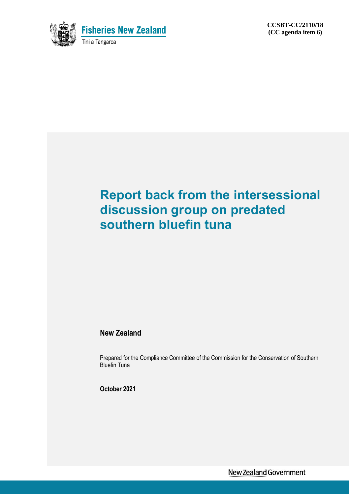

# **Report back from the intersessional discussion group on predated southern bluefin tuna**

#### **New Zealand**

Prepared for the Compliance Committee of the Commission for the Conservation of Southern Bluefin Tuna

**October 2021**

New Zealand Government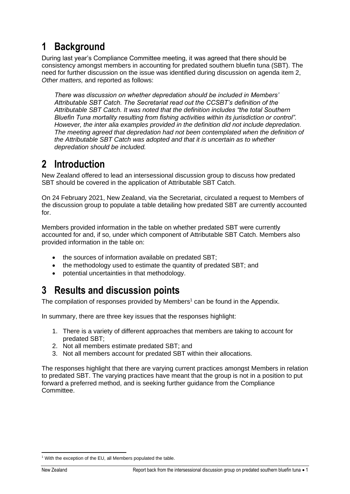## **1 Background**

During last year's Compliance Committee meeting, it was agreed that there should be consistency amongst members in accounting for predated southern bluefin tuna (SBT). The need for further discussion on the issue was identified during discussion on agenda item 2, *Other matters,* and reported as follows:

*There was discussion on whether depredation should be included in Members' Attributable SBT Catch. The Secretariat read out the CCSBT's definition of the Attributable SBT Catch. It was noted that the definition includes "the total Southern Bluefin Tuna mortality resulting from fishing activities within its jurisdiction or control". However, the inter alia examples provided in the definition did not include depredation. The meeting agreed that depredation had not been contemplated when the definition of the Attributable SBT Catch was adopted and that it is uncertain as to whether depredation should be included.* 

### **2 Introduction**

New Zealand offered to lead an intersessional discussion group to discuss how predated SBT should be covered in the application of Attributable SBT Catch.

On 24 February 2021, New Zealand, via the Secretariat, circulated a request to Members of the discussion group to populate a table detailing how predated SBT are currently accounted for.

Members provided information in the table on whether predated SBT were currently accounted for and, if so, under which component of Attributable SBT Catch. Members also provided information in the table on:

- the sources of information available on predated SBT;
- the methodology used to estimate the quantity of predated SBT; and
- potential uncertainties in that methodology.

### **3 Results and discussion points**

The compilation of responses provided by Members<sup>1</sup> can be found in the Appendix.

In summary, there are three key issues that the responses highlight:

- 1. There is a variety of different approaches that members are taking to account for predated SBT;
- 2. Not all members estimate predated SBT; and
- 3. Not all members account for predated SBT within their allocations.

The responses highlight that there are varying current practices amongst Members in relation to predated SBT. The varying practices have meant that the group is not in a position to put forward a preferred method, and is seeking further guidance from the Compliance Committee.

<sup>&</sup>lt;sup>1</sup> With the exception of the EU, all Members populated the table.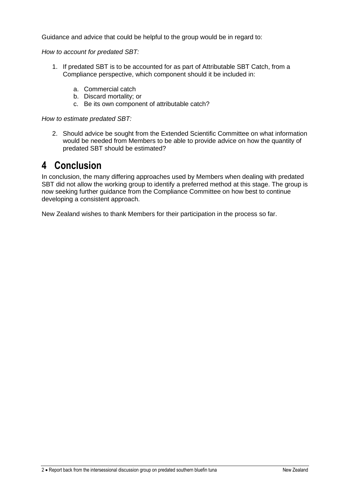Guidance and advice that could be helpful to the group would be in regard to:

*How to account for predated SBT:*

- 1. If predated SBT is to be accounted for as part of Attributable SBT Catch, from a Compliance perspective, which component should it be included in:
	- a. Commercial catch
	- b. Discard mortality; or
	- c. Be its own component of attributable catch?

*How to estimate predated SBT:*

2. Should advice be sought from the Extended Scientific Committee on what information would be needed from Members to be able to provide advice on how the quantity of predated SBT should be estimated?

#### **4 Conclusion**

In conclusion, the many differing approaches used by Members when dealing with predated SBT did not allow the working group to identify a preferred method at this stage. The group is now seeking further guidance from the Compliance Committee on how best to continue developing a consistent approach.

New Zealand wishes to thank Members for their participation in the process so far.